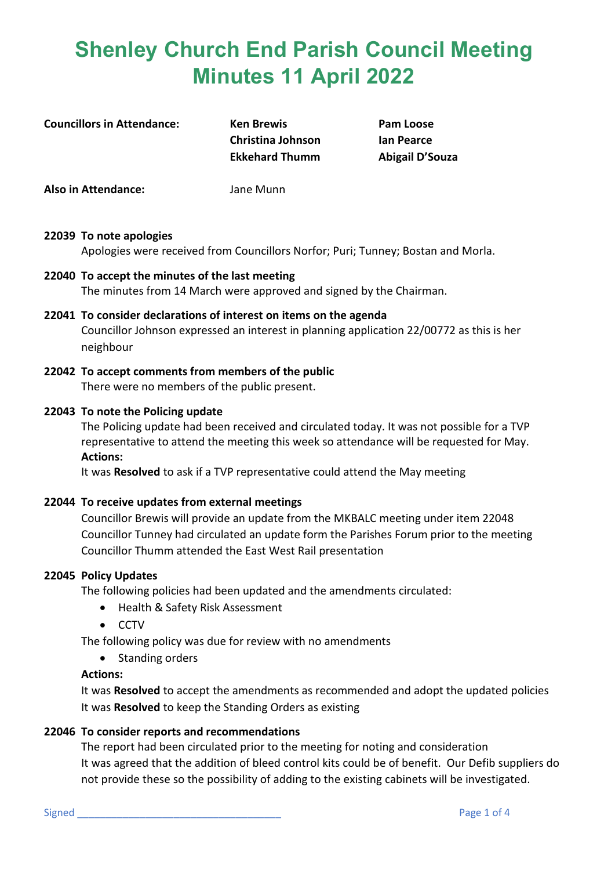**Councillors in Attendance: Ken Brewis Pam Loose**

**Christina Johnson Ian Pearce Ekkehard Thumm Abigail D'Souza**

**Also in Attendance:** Jane Munn

### **22039 To note apologies**

Apologies were received from Councillors Norfor; Puri; Tunney; Bostan and Morla.

**22040 To accept the minutes of the last meeting** The minutes from 14 March were approved and signed by the Chairman.

### **22041 To consider declarations of interest on items on the agenda** Councillor Johnson expressed an interest in planning application 22/00772 as this is her neighbour

**22042 To accept comments from members of the public** There were no members of the public present.

### **22043 To note the Policing update**

The Policing update had been received and circulated today. It was not possible for a TVP representative to attend the meeting this week so attendance will be requested for May. **Actions:**

It was **Resolved** to ask if a TVP representative could attend the May meeting

### **22044 To receive updates from external meetings**

Councillor Brewis will provide an update from the MKBALC meeting under item 22048 Councillor Tunney had circulated an update form the Parishes Forum prior to the meeting Councillor Thumm attended the East West Rail presentation

### **22045 Policy Updates**

The following policies had been updated and the amendments circulated:

- Health & Safety Risk Assessment
- CCTV

The following policy was due for review with no amendments

• Standing orders

### **Actions:**

It was **Resolved** to accept the amendments as recommended and adopt the updated policies It was **Resolved** to keep the Standing Orders as existing

### **22046 To consider reports and recommendations**

The report had been circulated prior to the meeting for noting and consideration It was agreed that the addition of bleed control kits could be of benefit. Our Defib suppliers do not provide these so the possibility of adding to the existing cabinets will be investigated.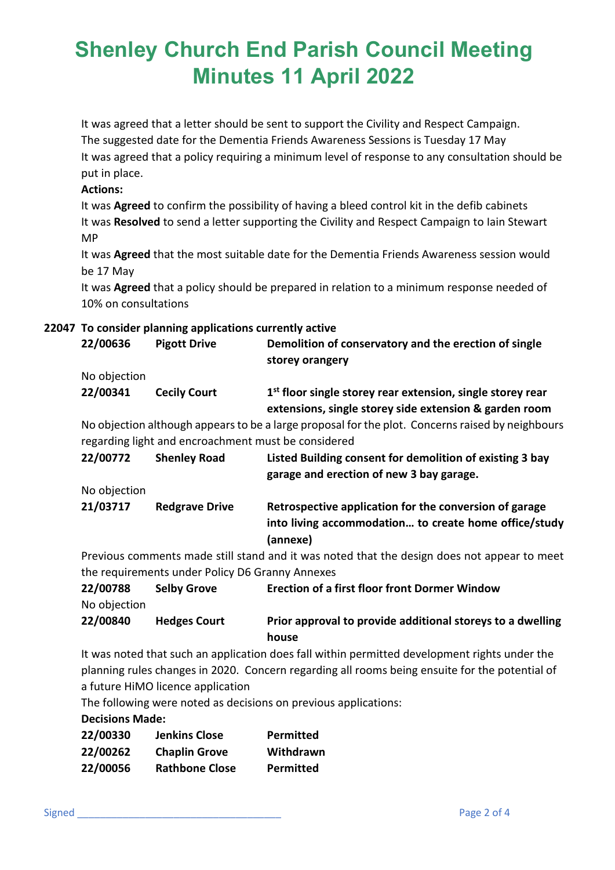It was agreed that a letter should be sent to support the Civility and Respect Campaign. The suggested date for the Dementia Friends Awareness Sessions is Tuesday 17 May It was agreed that a policy requiring a minimum level of response to any consultation should be put in place.

### **Actions:**

It was **Agreed** to confirm the possibility of having a bleed control kit in the defib cabinets It was **Resolved** to send a letter supporting the Civility and Respect Campaign to Iain Stewart MP

It was **Agreed** that the most suitable date for the Dementia Friends Awareness session would be 17 May

It was **Agreed** that a policy should be prepared in relation to a minimum response needed of 10% on consultations

### **22047 To consider planning applications currently active**

| 22/00636     | <b>Pigott Drive</b>                                 | Demolition of conservatory and the erection of single<br>storey orangery                                               |
|--------------|-----------------------------------------------------|------------------------------------------------------------------------------------------------------------------------|
| No objection |                                                     |                                                                                                                        |
| 22/00341     | <b>Cecily Court</b>                                 | $1st$ floor single storey rear extension, single storey rear<br>extensions, single storey side extension & garden room |
|              | regarding light and encroachment must be considered | No objection although appears to be a large proposal for the plot. Concerns raised by neighbours                       |
| 22/00772     | <b>Shenley Road</b>                                 | Listed Building consent for demolition of existing 3 bay                                                               |
|              |                                                     | garage and erection of new 3 bay garage.                                                                               |
| No objection |                                                     |                                                                                                                        |
| 21/03717     | <b>Redgrave Drive</b>                               | Retrospective application for the conversion of garage                                                                 |
|              |                                                     | into living accommodation to create home office/study<br>(annexe)                                                      |
|              |                                                     |                                                                                                                        |

Previous comments made still stand and it was noted that the design does not appear to meet the requirements under Policy D6 Granny Annexes

| 22/00788<br>No objection | <b>Selby Grove</b>  | <b>Erection of a first floor front Dormer Window</b>                |
|--------------------------|---------------------|---------------------------------------------------------------------|
| 22/00840                 | <b>Hedges Court</b> | Prior approval to provide additional storeys to a dwelling<br>house |

It was noted that such an application does fall within permitted development rights under the planning rules changes in 2020. Concern regarding all rooms being ensuite for the potential of a future HiMO licence application

The following were noted as decisions on previous applications:

### **Decisions Made:**

| 22/00330 | <b>Jenkins Close</b>  | <b>Permitted</b> |
|----------|-----------------------|------------------|
| 22/00262 | <b>Chaplin Grove</b>  | Withdrawn        |
| 22/00056 | <b>Rathbone Close</b> | <b>Permitted</b> |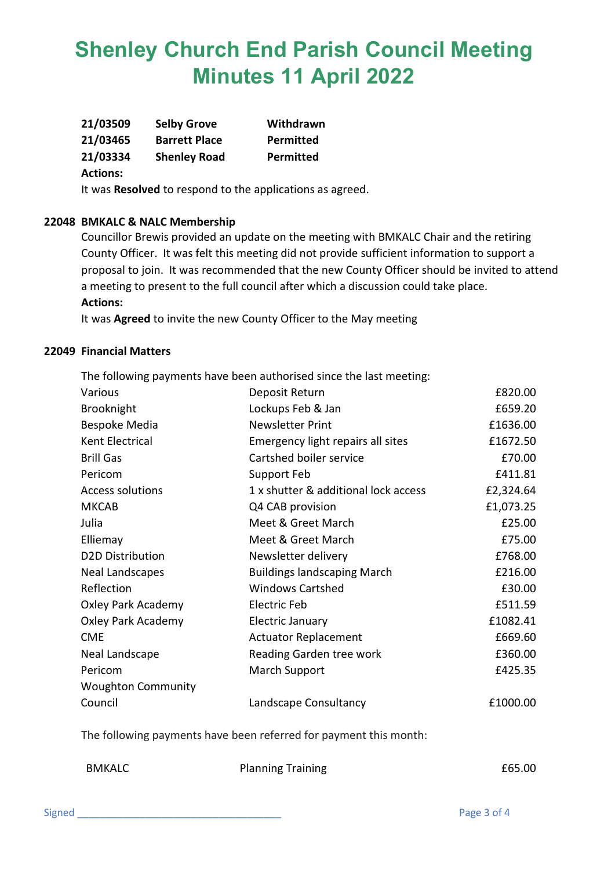| 21/03509 | <b>Selby Grove</b>   | Withdrawn        |
|----------|----------------------|------------------|
| 21/03465 | <b>Barrett Place</b> | <b>Permitted</b> |
| 21/03334 | <b>Shenley Road</b>  | <b>Permitted</b> |

### **Actions:**

It was **Resolved** to respond to the applications as agreed.

#### **22048 BMKALC & NALC Membership**

Councillor Brewis provided an update on the meeting with BMKALC Chair and the retiring County Officer. It was felt this meeting did not provide sufficient information to support a proposal to join. It was recommended that the new County Officer should be invited to attend a meeting to present to the full council after which a discussion could take place. **Actions:**

It was **Agreed** to invite the new County Officer to the May meeting

#### **22049 Financial Matters**

The following payments have been authorised since the last meeting:

| Various                   | Deposit Return                       | £820.00   |
|---------------------------|--------------------------------------|-----------|
| <b>Brooknight</b>         | Lockups Feb & Jan                    | £659.20   |
| Bespoke Media             | <b>Newsletter Print</b>              | £1636.00  |
| Kent Electrical           | Emergency light repairs all sites    | £1672.50  |
| <b>Brill Gas</b>          | Cartshed boiler service              | £70.00    |
| Pericom                   | Support Feb                          | £411.81   |
| <b>Access solutions</b>   | 1 x shutter & additional lock access | £2,324.64 |
| <b>MKCAB</b>              | Q4 CAB provision                     | £1,073.25 |
| Julia                     | Meet & Greet March                   | £25.00    |
| Elliemay                  | Meet & Greet March                   | £75.00    |
| <b>D2D Distribution</b>   | Newsletter delivery                  | £768.00   |
| <b>Neal Landscapes</b>    | <b>Buildings landscaping March</b>   | £216.00   |
| Reflection                | <b>Windows Cartshed</b>              | £30.00    |
| Oxley Park Academy        | Electric Feb                         | £511.59   |
| Oxley Park Academy        | Electric January                     | £1082.41  |
| <b>CME</b>                | <b>Actuator Replacement</b>          | £669.60   |
| Neal Landscape            | <b>Reading Garden tree work</b>      | £360.00   |
| Pericom                   | March Support                        | £425.35   |
| <b>Woughton Community</b> |                                      |           |
| Council                   | Landscape Consultancy                | £1000.00  |

The following payments have been referred for payment this month:

BMKALC Planning Training **E65.00**